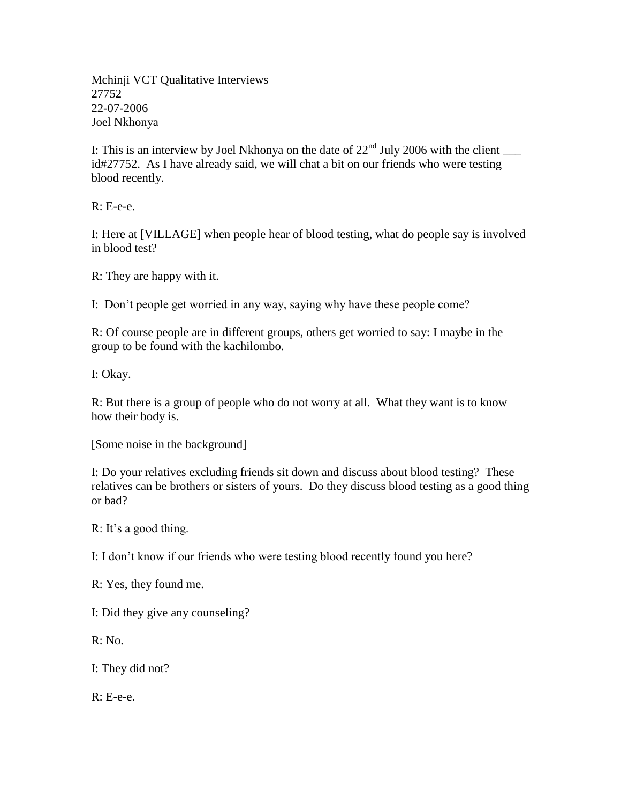Mchinji VCT Qualitative Interviews 27752 22-07-2006 Joel Nkhonya

I: This is an interview by Joel Nkhonya on the date of  $22<sup>nd</sup>$  July 2006 with the client id#27752. As I have already said, we will chat a bit on our friends who were testing blood recently.

R: E-e-e.

I: Here at [VILLAGE] when people hear of blood testing, what do people say is involved in blood test?

R: They are happy with it.

I: Don't people get worried in any way, saying why have these people come?

R: Of course people are in different groups, others get worried to say: I maybe in the group to be found with the kachilombo.

I: Okay.

R: But there is a group of people who do not worry at all. What they want is to know how their body is.

[Some noise in the background]

I: Do your relatives excluding friends sit down and discuss about blood testing? These relatives can be brothers or sisters of yours. Do they discuss blood testing as a good thing or bad?

R: It's a good thing.

I: I don't know if our friends who were testing blood recently found you here?

R: Yes, they found me.

I: Did they give any counseling?

R: No.

I: They did not?

R: E-e-e.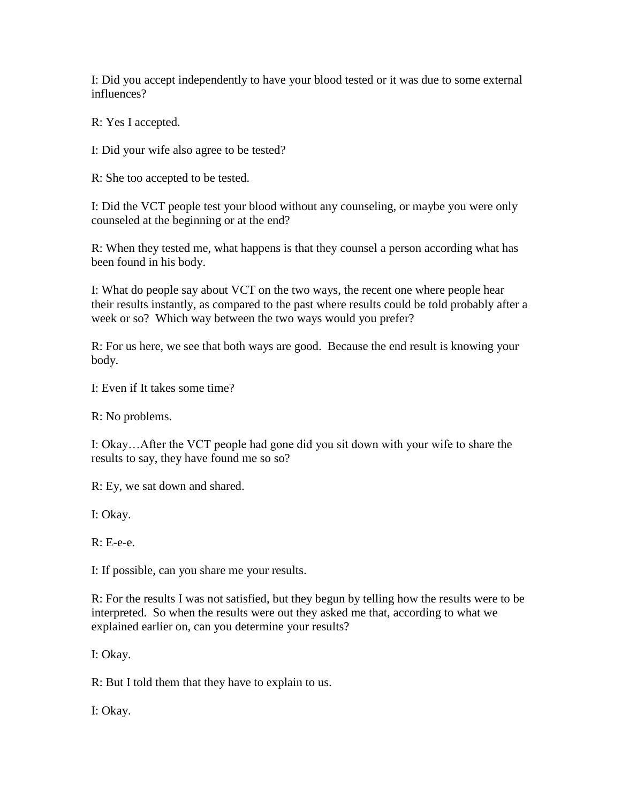I: Did you accept independently to have your blood tested or it was due to some external influences?

R: Yes I accepted.

I: Did your wife also agree to be tested?

R: She too accepted to be tested.

I: Did the VCT people test your blood without any counseling, or maybe you were only counseled at the beginning or at the end?

R: When they tested me, what happens is that they counsel a person according what has been found in his body.

I: What do people say about VCT on the two ways, the recent one where people hear their results instantly, as compared to the past where results could be told probably after a week or so? Which way between the two ways would you prefer?

R: For us here, we see that both ways are good. Because the end result is knowing your body.

I: Even if It takes some time?

R: No problems.

I: Okay…After the VCT people had gone did you sit down with your wife to share the results to say, they have found me so so?

R: Ey, we sat down and shared.

I: Okay.

R: E-e-e.

I: If possible, can you share me your results.

R: For the results I was not satisfied, but they begun by telling how the results were to be interpreted. So when the results were out they asked me that, according to what we explained earlier on, can you determine your results?

I: Okay.

R: But I told them that they have to explain to us.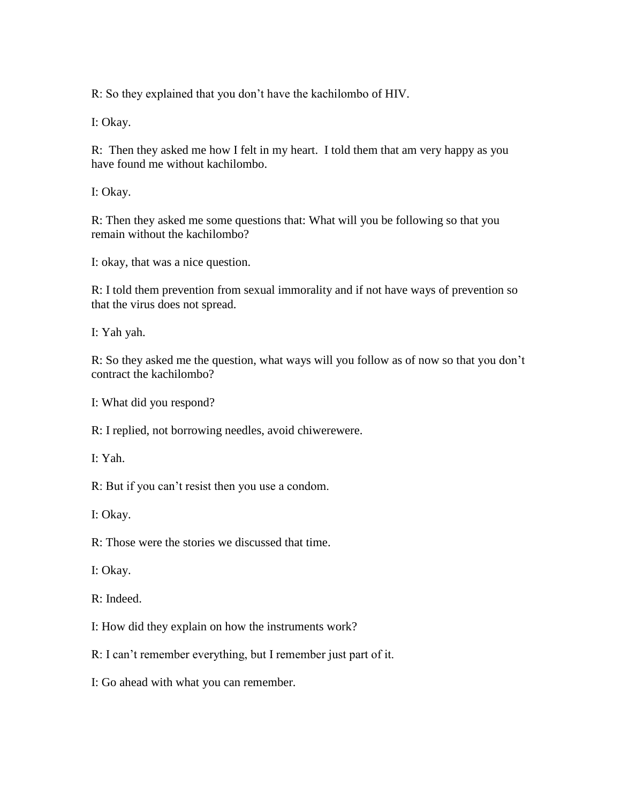R: So they explained that you don't have the kachilombo of HIV.

I: Okay.

R: Then they asked me how I felt in my heart. I told them that am very happy as you have found me without kachilombo.

I: Okay.

R: Then they asked me some questions that: What will you be following so that you remain without the kachilombo?

I: okay, that was a nice question.

R: I told them prevention from sexual immorality and if not have ways of prevention so that the virus does not spread.

I: Yah yah.

R: So they asked me the question, what ways will you follow as of now so that you don't contract the kachilombo?

I: What did you respond?

R: I replied, not borrowing needles, avoid chiwerewere.

I: Yah.

R: But if you can't resist then you use a condom.

I: Okay.

R: Those were the stories we discussed that time.

I: Okay.

R: Indeed.

I: How did they explain on how the instruments work?

R: I can't remember everything, but I remember just part of it.

I: Go ahead with what you can remember.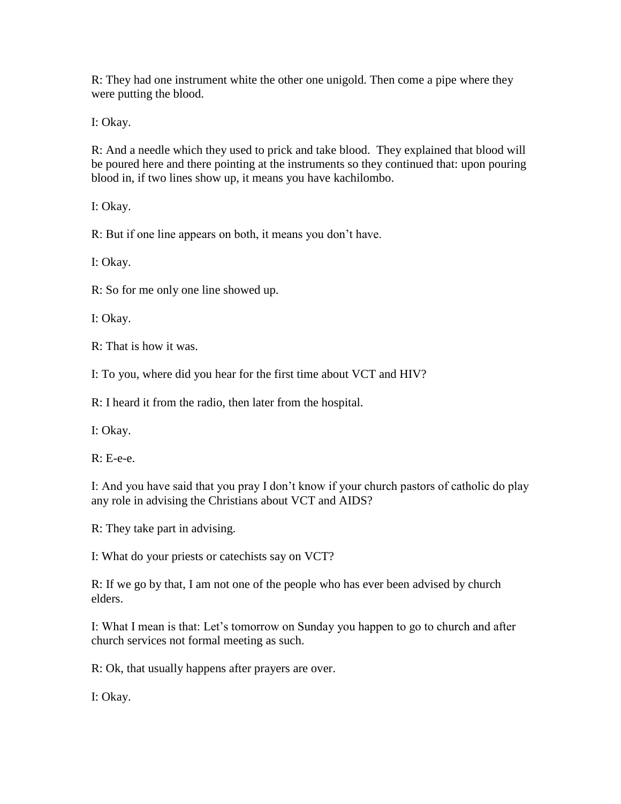R: They had one instrument white the other one unigold. Then come a pipe where they were putting the blood.

I: Okay.

R: And a needle which they used to prick and take blood. They explained that blood will be poured here and there pointing at the instruments so they continued that: upon pouring blood in, if two lines show up, it means you have kachilombo.

I: Okay.

R: But if one line appears on both, it means you don't have.

I: Okay.

R: So for me only one line showed up.

I: Okay.

R: That is how it was.

I: To you, where did you hear for the first time about VCT and HIV?

R: I heard it from the radio, then later from the hospital.

I: Okay.

R: E-e-e.

I: And you have said that you pray I don't know if your church pastors of catholic do play any role in advising the Christians about VCT and AIDS?

R: They take part in advising.

I: What do your priests or catechists say on VCT?

R: If we go by that, I am not one of the people who has ever been advised by church elders.

I: What I mean is that: Let's tomorrow on Sunday you happen to go to church and after church services not formal meeting as such.

R: Ok, that usually happens after prayers are over.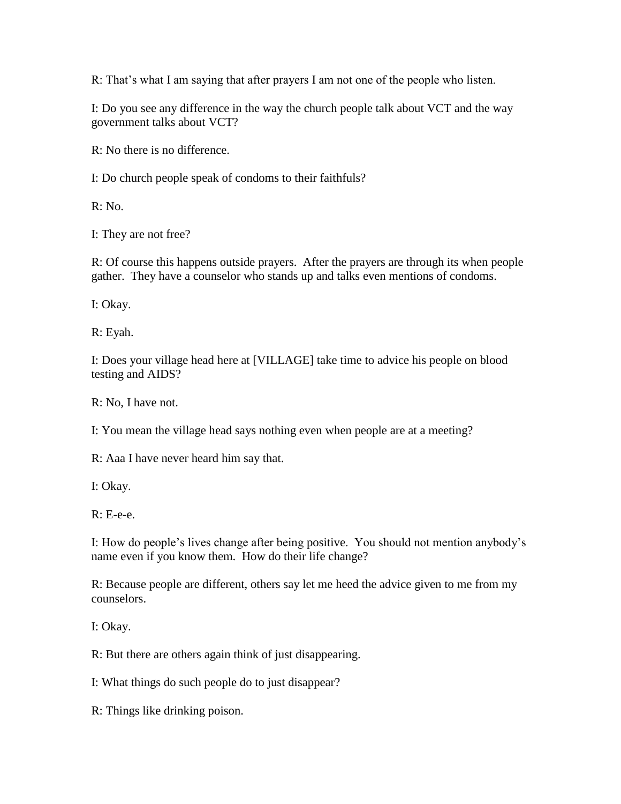R: That's what I am saying that after prayers I am not one of the people who listen.

I: Do you see any difference in the way the church people talk about VCT and the way government talks about VCT?

R: No there is no difference.

I: Do church people speak of condoms to their faithfuls?

R: No.

I: They are not free?

R: Of course this happens outside prayers. After the prayers are through its when people gather. They have a counselor who stands up and talks even mentions of condoms.

I: Okay.

R: Eyah.

I: Does your village head here at [VILLAGE] take time to advice his people on blood testing and AIDS?

R: No, I have not.

I: You mean the village head says nothing even when people are at a meeting?

R: Aaa I have never heard him say that.

I: Okay.

R: E-e-e.

I: How do people's lives change after being positive. You should not mention anybody's name even if you know them. How do their life change?

R: Because people are different, others say let me heed the advice given to me from my counselors.

I: Okay.

R: But there are others again think of just disappearing.

I: What things do such people do to just disappear?

R: Things like drinking poison.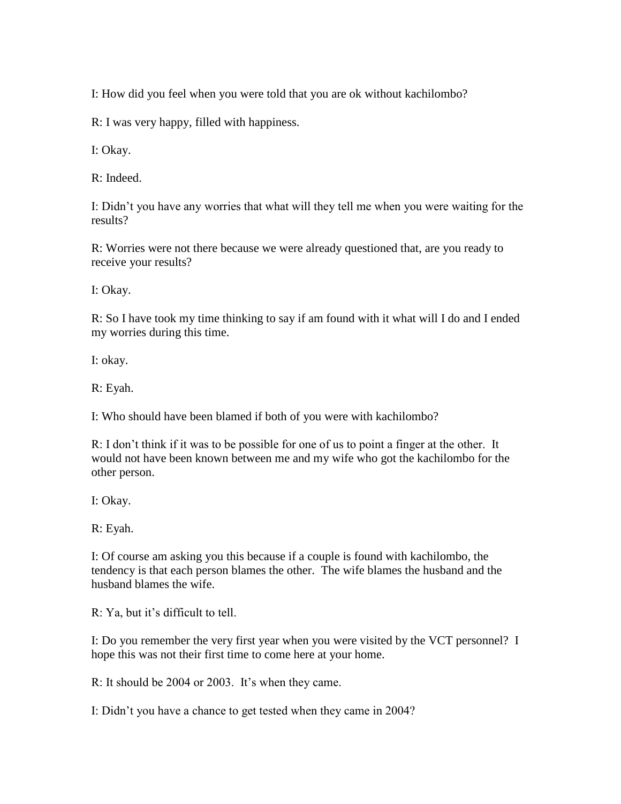I: How did you feel when you were told that you are ok without kachilombo?

R: I was very happy, filled with happiness.

I: Okay.

R: Indeed.

I: Didn't you have any worries that what will they tell me when you were waiting for the results?

R: Worries were not there because we were already questioned that, are you ready to receive your results?

I: Okay.

R: So I have took my time thinking to say if am found with it what will I do and I ended my worries during this time.

I: okay.

R: Eyah.

I: Who should have been blamed if both of you were with kachilombo?

R: I don't think if it was to be possible for one of us to point a finger at the other. It would not have been known between me and my wife who got the kachilombo for the other person.

I: Okay.

R: Eyah.

I: Of course am asking you this because if a couple is found with kachilombo, the tendency is that each person blames the other. The wife blames the husband and the husband blames the wife.

R: Ya, but it's difficult to tell.

I: Do you remember the very first year when you were visited by the VCT personnel? I hope this was not their first time to come here at your home.

R: It should be 2004 or 2003. It's when they came.

I: Didn't you have a chance to get tested when they came in 2004?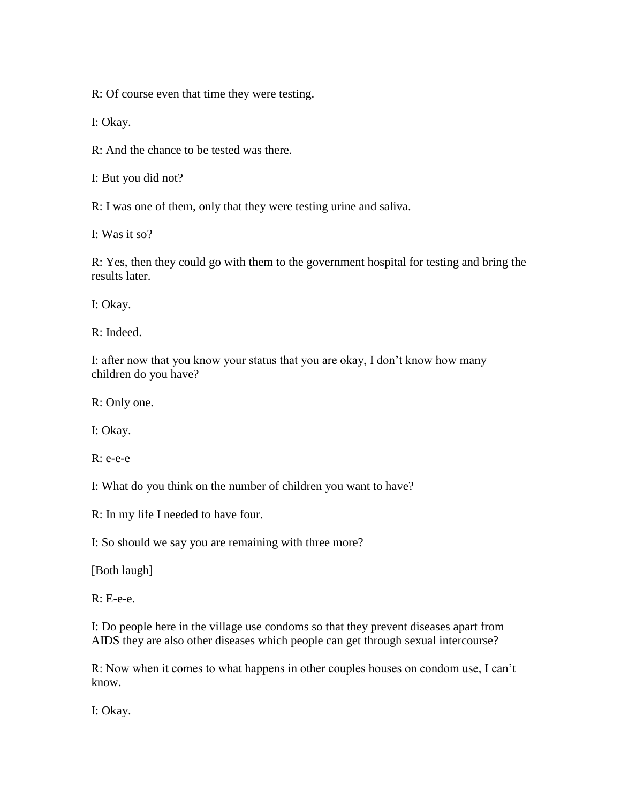R: Of course even that time they were testing.

I: Okay.

R: And the chance to be tested was there.

I: But you did not?

R: I was one of them, only that they were testing urine and saliva.

I: Was it so?

R: Yes, then they could go with them to the government hospital for testing and bring the results later.

I: Okay.

R: Indeed.

I: after now that you know your status that you are okay, I don't know how many children do you have?

R: Only one.

I: Okay.

R: e-e-e

I: What do you think on the number of children you want to have?

R: In my life I needed to have four.

I: So should we say you are remaining with three more?

[Both laugh]

 $R: E-e-e$ .

I: Do people here in the village use condoms so that they prevent diseases apart from AIDS they are also other diseases which people can get through sexual intercourse?

R: Now when it comes to what happens in other couples houses on condom use, I can't know.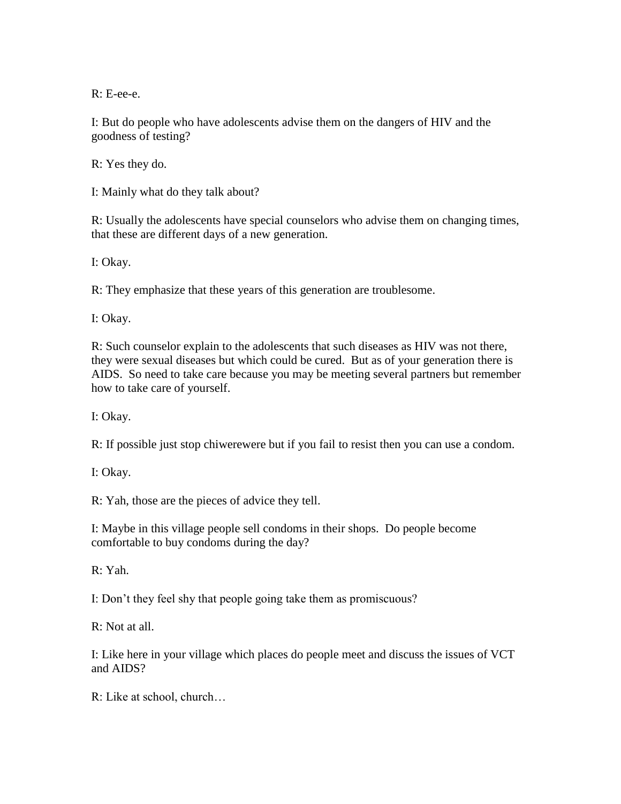R: E-ee-e.

I: But do people who have adolescents advise them on the dangers of HIV and the goodness of testing?

R: Yes they do.

I: Mainly what do they talk about?

R: Usually the adolescents have special counselors who advise them on changing times, that these are different days of a new generation.

I: Okay.

R: They emphasize that these years of this generation are troublesome.

I: Okay.

R: Such counselor explain to the adolescents that such diseases as HIV was not there, they were sexual diseases but which could be cured. But as of your generation there is AIDS. So need to take care because you may be meeting several partners but remember how to take care of yourself.

I: Okay.

R: If possible just stop chiwerewere but if you fail to resist then you can use a condom.

I: Okay.

R: Yah, those are the pieces of advice they tell.

I: Maybe in this village people sell condoms in their shops. Do people become comfortable to buy condoms during the day?

R: Yah.

I: Don't they feel shy that people going take them as promiscuous?

R: Not at all.

I: Like here in your village which places do people meet and discuss the issues of VCT and AIDS?

R: Like at school, church…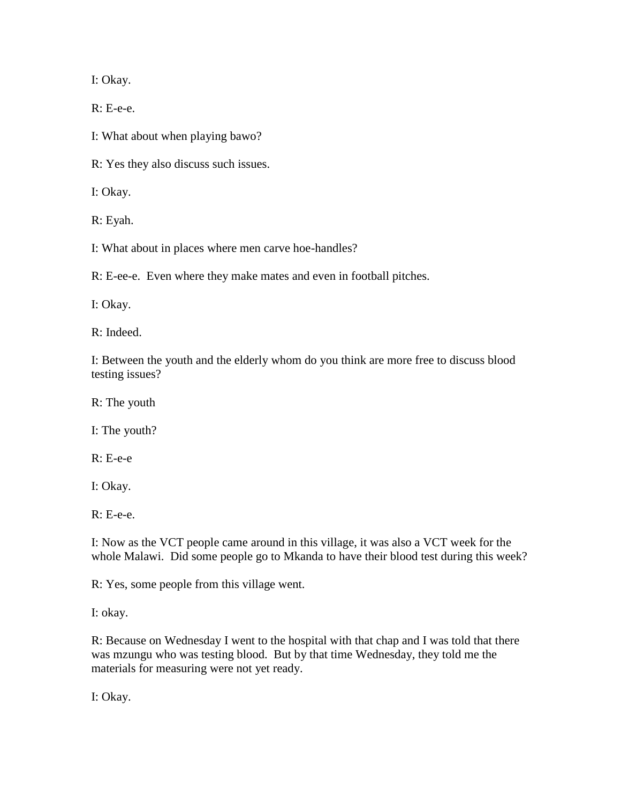I: Okay.

R: E-e-e.

I: What about when playing bawo?

R: Yes they also discuss such issues.

I: Okay.

R: Eyah.

I: What about in places where men carve hoe-handles?

R: E-ee-e. Even where they make mates and even in football pitches.

I: Okay.

R: Indeed.

I: Between the youth and the elderly whom do you think are more free to discuss blood testing issues?

R: The youth

I: The youth?

R: E-e-e

I: Okay.

R: E-e-e.

I: Now as the VCT people came around in this village, it was also a VCT week for the whole Malawi. Did some people go to Mkanda to have their blood test during this week?

R: Yes, some people from this village went.

I: okay.

R: Because on Wednesday I went to the hospital with that chap and I was told that there was mzungu who was testing blood. But by that time Wednesday, they told me the materials for measuring were not yet ready.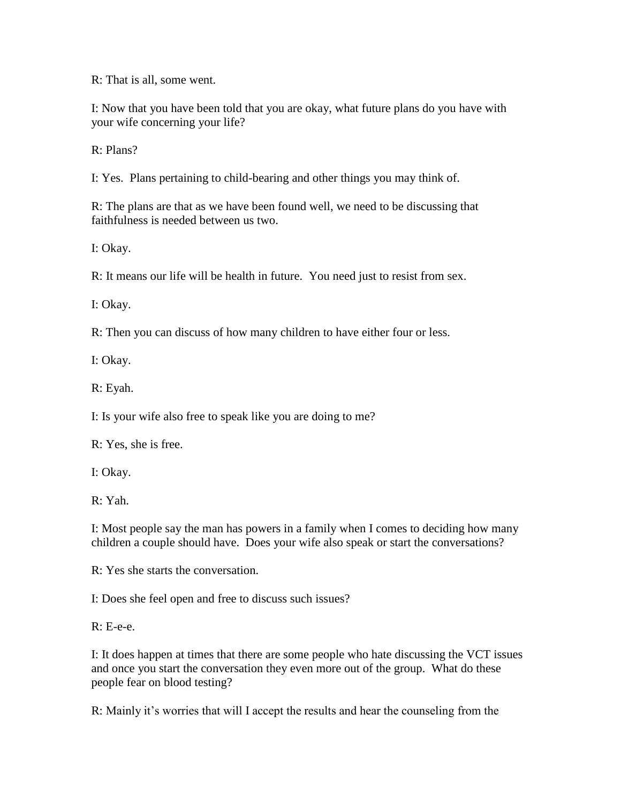R: That is all, some went.

I: Now that you have been told that you are okay, what future plans do you have with your wife concerning your life?

R: Plans?

I: Yes. Plans pertaining to child-bearing and other things you may think of.

R: The plans are that as we have been found well, we need to be discussing that faithfulness is needed between us two.

I: Okay.

R: It means our life will be health in future. You need just to resist from sex.

I: Okay.

R: Then you can discuss of how many children to have either four or less.

I: Okay.

R: Eyah.

I: Is your wife also free to speak like you are doing to me?

R: Yes, she is free.

I: Okay.

R: Yah.

I: Most people say the man has powers in a family when I comes to deciding how many children a couple should have. Does your wife also speak or start the conversations?

R: Yes she starts the conversation.

I: Does she feel open and free to discuss such issues?

R: E-e-e.

I: It does happen at times that there are some people who hate discussing the VCT issues and once you start the conversation they even more out of the group. What do these people fear on blood testing?

R: Mainly it's worries that will I accept the results and hear the counseling from the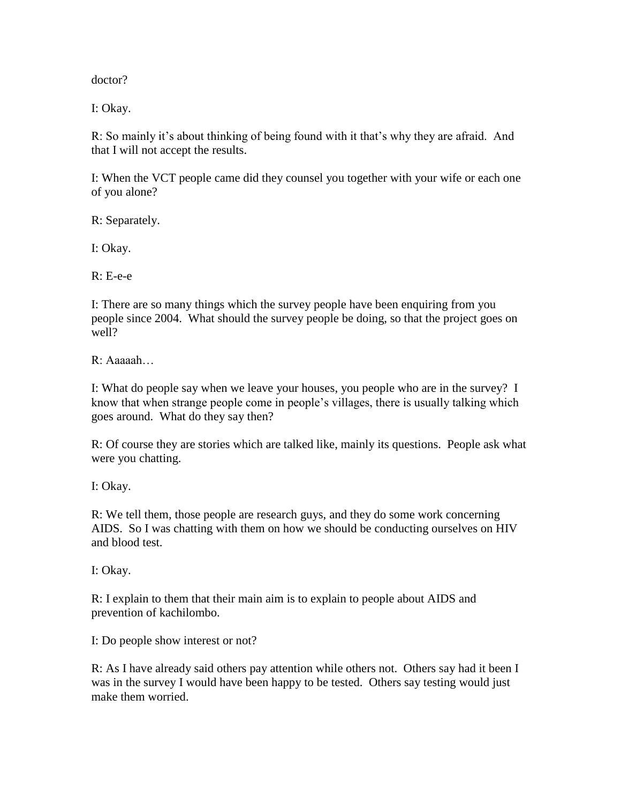doctor?

I: Okay.

R: So mainly it's about thinking of being found with it that's why they are afraid. And that I will not accept the results.

I: When the VCT people came did they counsel you together with your wife or each one of you alone?

R: Separately.

I: Okay.

R: E-e-e

I: There are so many things which the survey people have been enquiring from you people since 2004. What should the survey people be doing, so that the project goes on well?

R: Aaaaah…

I: What do people say when we leave your houses, you people who are in the survey? I know that when strange people come in people's villages, there is usually talking which goes around. What do they say then?

R: Of course they are stories which are talked like, mainly its questions. People ask what were you chatting.

I: Okay.

R: We tell them, those people are research guys, and they do some work concerning AIDS. So I was chatting with them on how we should be conducting ourselves on HIV and blood test.

I: Okay.

R: I explain to them that their main aim is to explain to people about AIDS and prevention of kachilombo.

I: Do people show interest or not?

R: As I have already said others pay attention while others not. Others say had it been I was in the survey I would have been happy to be tested. Others say testing would just make them worried.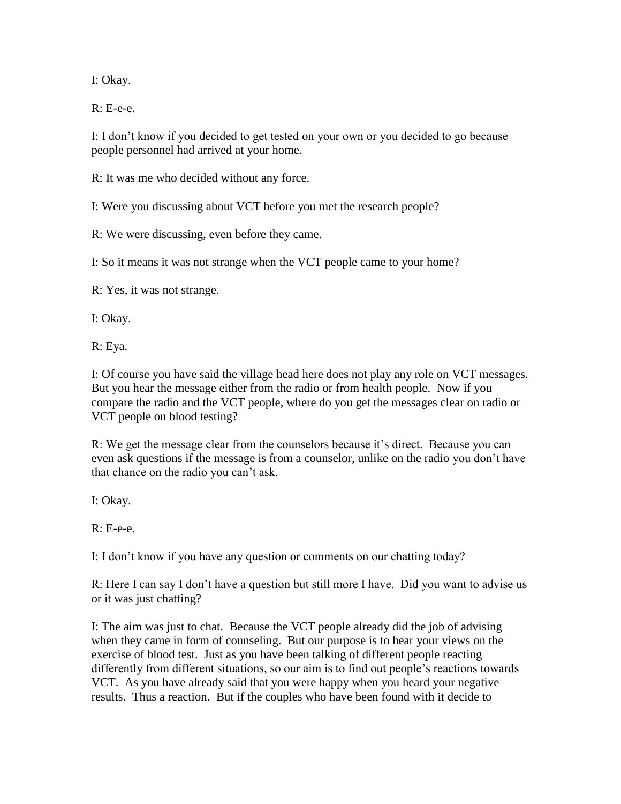I: Okay.

R: E-e-e.

I: I don't know if you decided to get tested on your own or you decided to go because people personnel had arrived at your home.

R: It was me who decided without any force.

I: Were you discussing about VCT before you met the research people?

R: We were discussing, even before they came.

I: So it means it was not strange when the VCT people came to your home?

R: Yes, it was not strange.

I: Okay.

R: Eya.

I: Of course you have said the village head here does not play any role on VCT messages. But you hear the message either from the radio or from health people. Now if you compare the radio and the VCT people, where do you get the messages clear on radio or VCT people on blood testing?

R: We get the message clear from the counselors because it's direct. Because you can even ask questions if the message is from a counselor, unlike on the radio you don't have that chance on the radio you can't ask.

I: Okay.

 $R: E-e-e$ .

I: I don't know if you have any question or comments on our chatting today?

R: Here I can say I don't have a question but still more I have. Did you want to advise us or it was just chatting?

I: The aim was just to chat. Because the VCT people already did the job of advising when they came in form of counseling. But our purpose is to hear your views on the exercise of blood test. Just as you have been talking of different people reacting differently from different situations, so our aim is to find out people's reactions towards VCT. As you have already said that you were happy when you heard your negative results. Thus a reaction. But if the couples who have been found with it decide to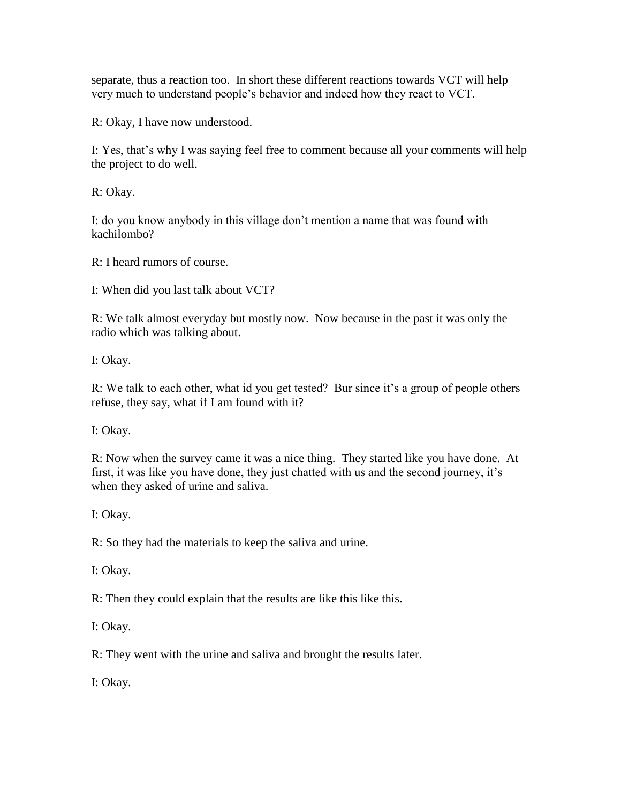separate, thus a reaction too. In short these different reactions towards VCT will help very much to understand people's behavior and indeed how they react to VCT.

R: Okay, I have now understood.

I: Yes, that's why I was saying feel free to comment because all your comments will help the project to do well.

R: Okay.

I: do you know anybody in this village don't mention a name that was found with kachilombo?

R: I heard rumors of course.

I: When did you last talk about VCT?

R: We talk almost everyday but mostly now. Now because in the past it was only the radio which was talking about.

I: Okay.

R: We talk to each other, what id you get tested? Bur since it's a group of people others refuse, they say, what if I am found with it?

I: Okay.

R: Now when the survey came it was a nice thing. They started like you have done. At first, it was like you have done, they just chatted with us and the second journey, it's when they asked of urine and saliva.

I: Okay.

R: So they had the materials to keep the saliva and urine.

I: Okay.

R: Then they could explain that the results are like this like this.

I: Okay.

R: They went with the urine and saliva and brought the results later.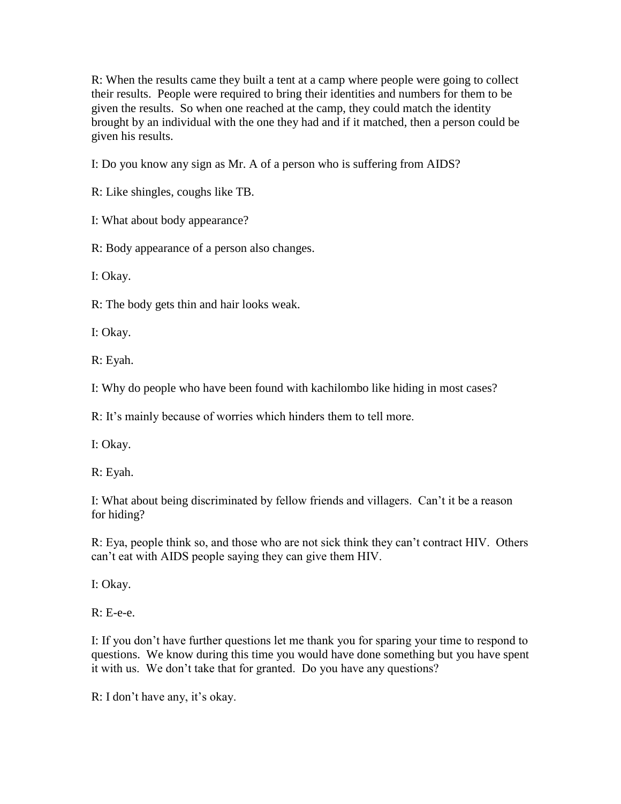R: When the results came they built a tent at a camp where people were going to collect their results. People were required to bring their identities and numbers for them to be given the results. So when one reached at the camp, they could match the identity brought by an individual with the one they had and if it matched, then a person could be given his results.

I: Do you know any sign as Mr. A of a person who is suffering from AIDS?

R: Like shingles, coughs like TB.

I: What about body appearance?

R: Body appearance of a person also changes.

I: Okay.

R: The body gets thin and hair looks weak.

I: Okay.

R: Eyah.

I: Why do people who have been found with kachilombo like hiding in most cases?

R: It's mainly because of worries which hinders them to tell more.

I: Okay.

R: Eyah.

I: What about being discriminated by fellow friends and villagers. Can't it be a reason for hiding?

R: Eya, people think so, and those who are not sick think they can't contract HIV. Others can't eat with AIDS people saying they can give them HIV.

I: Okay.

R: E-e-e.

I: If you don't have further questions let me thank you for sparing your time to respond to questions. We know during this time you would have done something but you have spent it with us. We don't take that for granted. Do you have any questions?

R: I don't have any, it's okay.